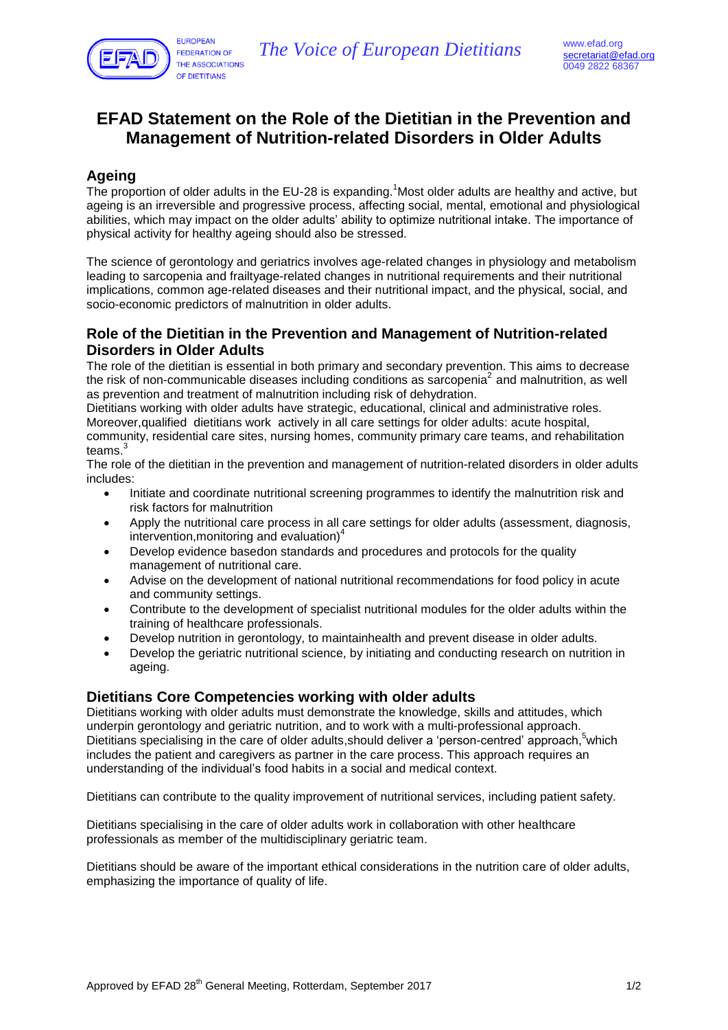

# **EFAD Statement on the Role of the Dietitian in the Prevention and Management of Nutrition-related Disorders in Older Adults**

## **Ageing**

The proportion of older adults in the EU-28 is expanding.<sup>1</sup>Most older adults are healthy and active, but ageing is an irreversible and progressive process, affecting social, mental, emotional and physiological abilities, which may impact on the older adults' ability to optimize nutritional intake. The importance of physical activity for healthy ageing should also be stressed.

The science of gerontology and geriatrics involves age-related changes in physiology and metabolism leading to sarcopenia and frailtyage-related changes in nutritional requirements and their nutritional implications, common age-related diseases and their nutritional impact, and the physical, social, and socio-economic predictors of malnutrition in older adults.

### **Role of the Dietitian in the Prevention and Management of Nutrition-related Disorders in Older Adults**

The role of the dietitian is essential in both primary and secondary prevention. This aims to decrease the risk of non-communicable diseases including conditions as sarcopenia<sup>2</sup> and malnutrition, as well as prevention and treatment of malnutrition including risk of dehydration.

Dietitians working with older adults have strategic, educational, clinical and administrative roles. Moreover,qualified dietitians work actively in all care settings for older adults: acute hospital, community, residential care sites, nursing homes, community primary care teams, and rehabilitation teams $^3$ 

The role of the dietitian in the prevention and management of nutrition-related disorders in older adults includes:

- Initiate and coordinate nutritional screening programmes to identify the malnutrition risk and risk factors for malnutrition
- Apply the nutritional care process in all care settings for older adults (assessment, diagnosis, intervention,monitoring and evaluation) 4
- Develop evidence basedon standards and procedures and protocols for the quality management of nutritional care.
- Advise on the development of national nutritional recommendations for food policy in acute and community settings.
- Contribute to the development of specialist nutritional modules for the older adults within the training of healthcare professionals.
- Develop nutrition in gerontology, to maintainhealth and prevent disease in older adults.
- Develop the geriatric nutritional science, by initiating and conducting research on nutrition in ageing.

#### **Dietitians Core Competencies working with older adults**

Dietitians working with older adults must demonstrate the knowledge, skills and attitudes, which underpin gerontology and geriatric nutrition, and to work with a multi-professional approach. Dietitians specialising in the care of older adults, should deliver a 'person-centred' approach, which includes the patient and caregivers as partner in the care process. This approach requires an understanding of the individual's food habits in a social and medical context.

Dietitians can contribute to the quality improvement of nutritional services, including patient safety.

Dietitians specialising in the care of older adults work in collaboration with other healthcare professionals as member of the multidisciplinary geriatric team.

Dietitians should be aware of the important ethical considerations in the nutrition care of older adults, emphasizing the importance of quality of life.